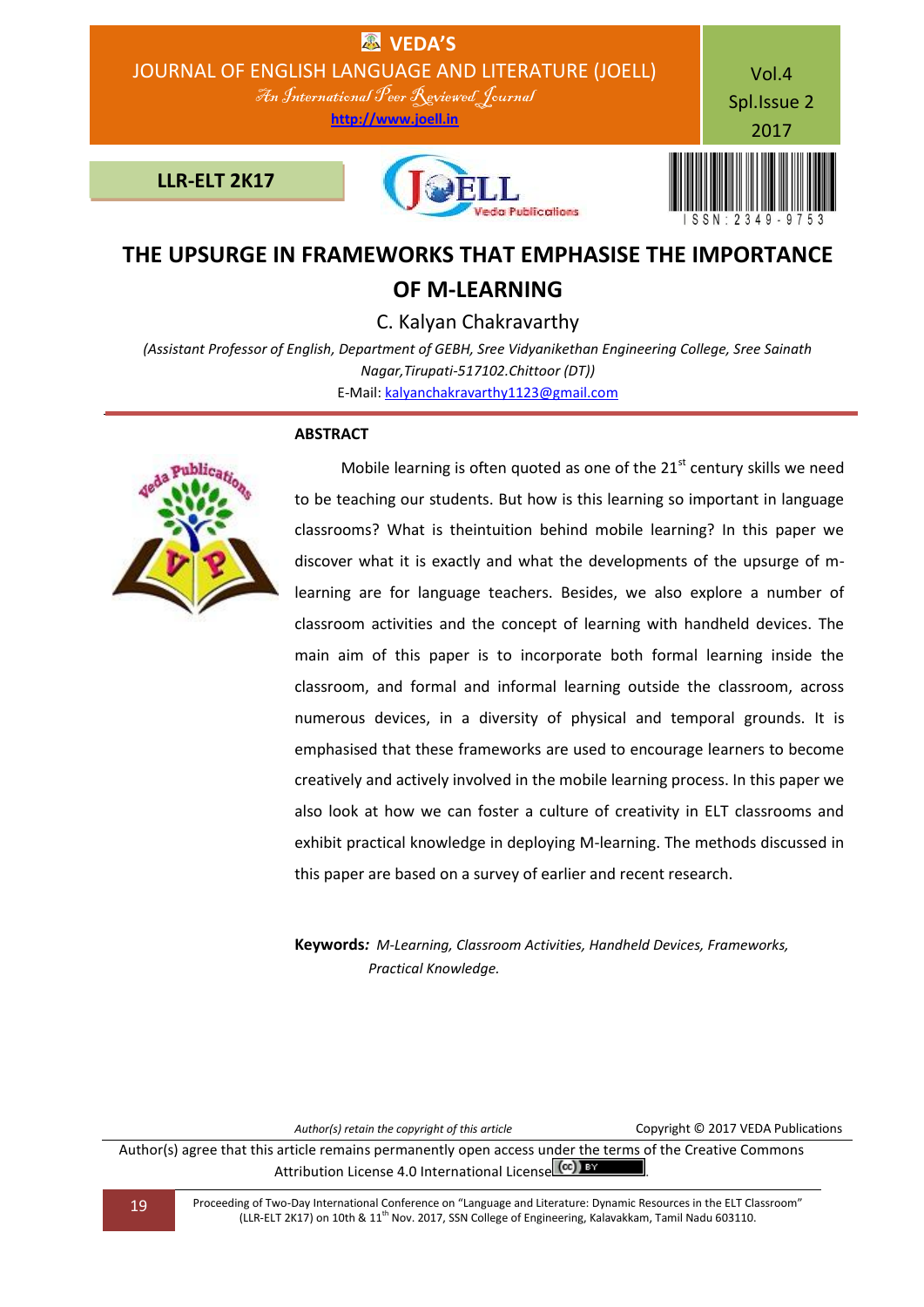

# **THE UPSURGE IN FRAMEWORKS THAT EMPHASISE THE IMPORTANCE OF M-LEARNING**

C. Kalyan Chakravarthy

*(Assistant Professor of English, Department of GEBH, Sree Vidyanikethan Engineering College, Sree Sainath Nagar,Tirupati-517102.Chittoor (DT))* E-Mail: [kalyanchakravarthy1123@gmail.com](mailto:kalyanchakravarthy1123@gmail.com)

# **ABSTRACT**



Mobile learning is often quoted as one of the  $21<sup>st</sup>$  century skills we need to be teaching our students. But how is this learning so important in language classrooms? What is theintuition behind mobile learning? In this paper we discover what it is exactly and what the developments of the upsurge of mlearning are for language teachers. Besides, we also explore a number of classroom activities and the concept of learning with handheld devices. The main aim of this paper is to incorporate both formal learning inside the classroom, and formal and informal learning outside the classroom, across numerous devices, in a diversity of physical and temporal grounds. It is emphasised that these frameworks are used to encourage learners to become creatively and actively involved in the mobile learning process. In this paper we also look at how we can foster a culture of creativity in ELT classrooms and exhibit practical knowledge in deploying M-learning. The methods discussed in this paper are based on a survey of earlier and recent research.

**Keywords***: M-Learning, Classroom Activities, Handheld Devices, Frameworks, Practical Knowledge.*

Author(s) retain the copyright of this article **Copyright C 2017 VEDA Publications** 

Author(s) agree that this article remains permanently open access under the terms of the Creative Commons Attribution License 4.0 International License  $\left[\text{cc}\right]$  BY

19 Proceeding of Two-Day International Conference on "Language and Literature: Dynamic Resources in the ELT Classroom" (LLR-ELT 2K17) on 10th & 11th Nov. 2017, SSN College of Engineering, Kalavakkam, Tamil Nadu 603110.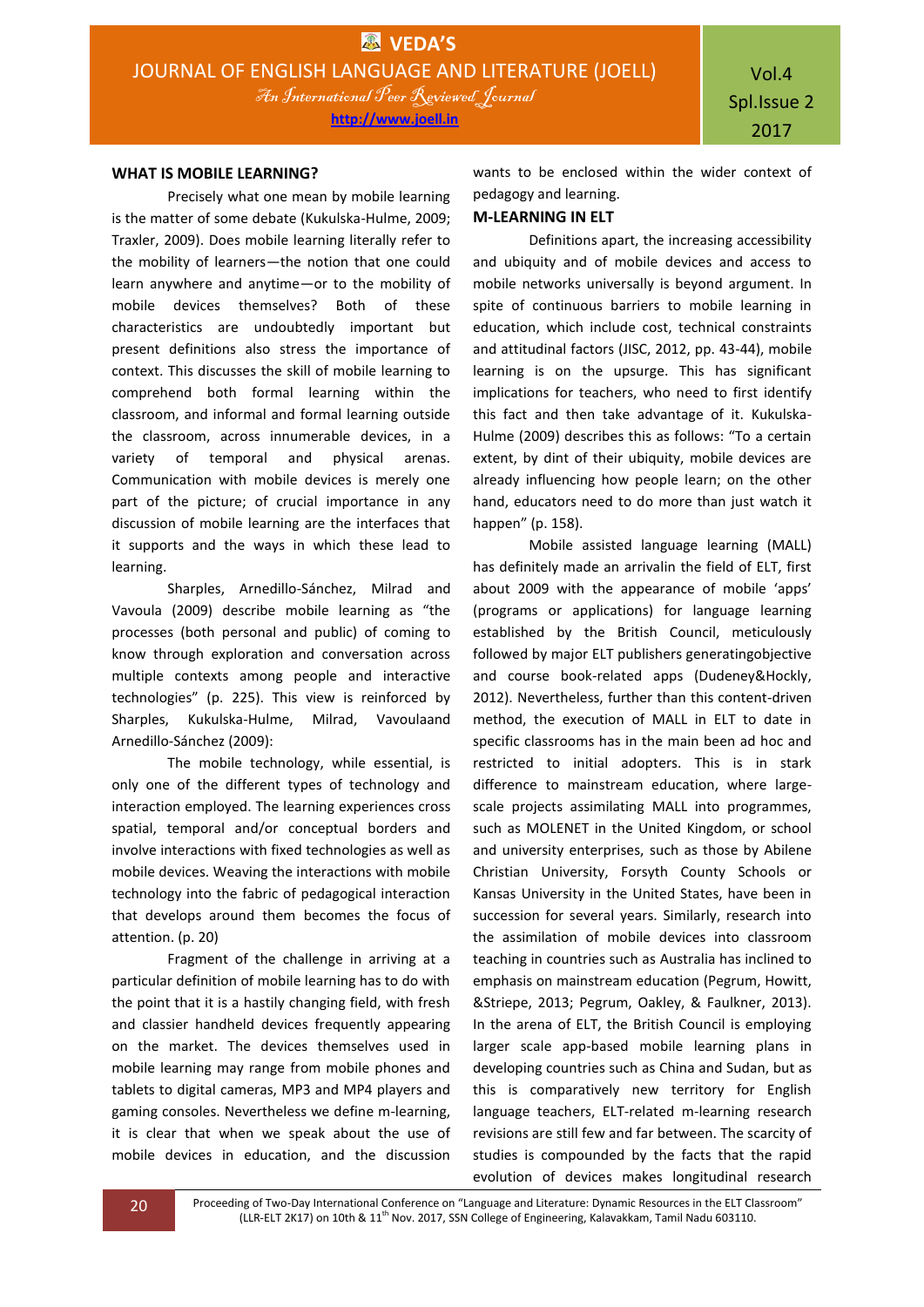### **WHAT IS MOBILE LEARNING?**

Precisely what one mean by mobile learning is the matter of some debate (Kukulska-Hulme, 2009; Traxler, 2009). Does mobile learning literally refer to the mobility of learners—the notion that one could learn anywhere and anytime—or to the mobility of mobile devices themselves? Both of these characteristics are undoubtedly important but present definitions also stress the importance of context. This discusses the skill of mobile learning to comprehend both formal learning within the classroom, and informal and formal learning outside the classroom, across innumerable devices, in a variety of temporal and physical arenas. Communication with mobile devices is merely one part of the picture; of crucial importance in any discussion of mobile learning are the interfaces that it supports and the ways in which these lead to learning.

Sharples, Arnedillo-Sánchez, Milrad and Vavoula (2009) describe mobile learning as "the processes (both personal and public) of coming to know through exploration and conversation across multiple contexts among people and interactive technologies" (p. 225). This view is reinforced by Sharples, Kukulska-Hulme, Milrad, Vavoulaand Arnedillo-Sánchez (2009):

The mobile technology, while essential, is only one of the different types of technology and interaction employed. The learning experiences cross spatial, temporal and/or conceptual borders and involve interactions with fixed technologies as well as mobile devices. Weaving the interactions with mobile technology into the fabric of pedagogical interaction that develops around them becomes the focus of attention. (p. 20)

Fragment of the challenge in arriving at a particular definition of mobile learning has to do with the point that it is a hastily changing field, with fresh and classier handheld devices frequently appearing on the market. The devices themselves used in mobile learning may range from mobile phones and tablets to digital cameras, MP3 and MP4 players and gaming consoles. Nevertheless we define m-learning, it is clear that when we speak about the use of mobile devices in education, and the discussion

wants to be enclosed within the wider context of pedagogy and learning.

## **M-LEARNING IN ELT**

Definitions apart, the increasing accessibility and ubiquity and of mobile devices and access to mobile networks universally is beyond argument. In spite of continuous barriers to mobile learning in education, which include cost, technical constraints and attitudinal factors (JISC, 2012, pp. 43-44), mobile learning is on the upsurge. This has significant implications for teachers, who need to first identify this fact and then take advantage of it. Kukulska-Hulme (2009) describes this as follows: "To a certain extent, by dint of their ubiquity, mobile devices are already influencing how people learn; on the other hand, educators need to do more than just watch it happen" (p. 158).

Mobile assisted language learning (MALL) has definitely made an arrivalin the field of ELT, first about 2009 with the appearance of mobile 'apps' (programs or applications) for language learning established by the British Council, meticulously followed by major ELT publishers generatingobjective and course book-related apps (Dudeney&Hockly, 2012). Nevertheless, further than this content-driven method, the execution of MALL in ELT to date in specific classrooms has in the main been ad hoc and restricted to initial adopters. This is in stark difference to mainstream education, where largescale projects assimilating MALL into programmes, such as MOLENET in the United Kingdom, or school and university enterprises, such as those by Abilene Christian University, Forsyth County Schools or Kansas University in the United States, have been in succession for several years. Similarly, research into the assimilation of mobile devices into classroom teaching in countries such as Australia has inclined to emphasis on mainstream education (Pegrum, Howitt, &Striepe, 2013; Pegrum, Oakley, & Faulkner, 2013). In the arena of ELT, the British Council is employing larger scale app-based mobile learning plans in developing countries such as China and Sudan, but as this is comparatively new territory for English language teachers, ELT-related m-learning research revisions are still few and far between. The scarcity of studies is compounded by the facts that the rapid evolution of devices makes longitudinal research

20 Proceeding of Two-Day International Conference on "Language and Literature: Dynamic Resources in the ELT Classroom" (LLR-ELT 2K17) on 10th & 11<sup>th</sup> Nov. 2017, SSN College of Engineering, Kalavakkam, Tamil Nadu 603110.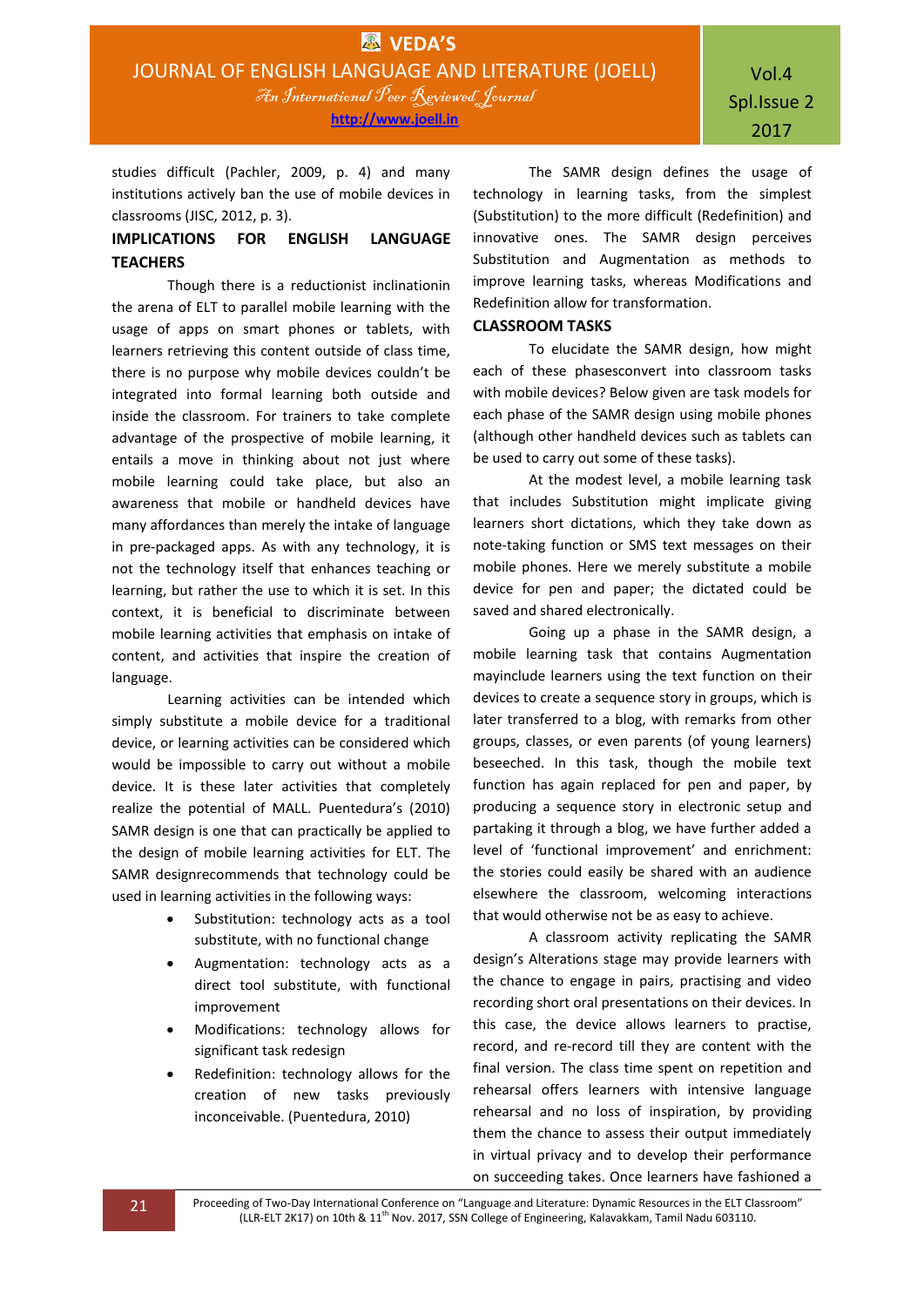studies difficult (Pachler, 2009, p. 4) and many institutions actively ban the use of mobile devices in classrooms (JISC, 2012, p. 3).

# **IMPLICATIONS FOR ENGLISH LANGUAGE TEACHERS**

Though there is a reductionist inclinationin the arena of ELT to parallel mobile learning with the usage of apps on smart phones or tablets, with learners retrieving this content outside of class time, there is no purpose why mobile devices couldn't be integrated into formal learning both outside and inside the classroom. For trainers to take complete advantage of the prospective of mobile learning, it entails a move in thinking about not just where mobile learning could take place, but also an awareness that mobile or handheld devices have many affordances than merely the intake of language in pre-packaged apps. As with any technology, it is not the technology itself that enhances teaching or learning, but rather the use to which it is set. In this context, it is beneficial to discriminate between mobile learning activities that emphasis on intake of content, and activities that inspire the creation of language.

Learning activities can be intended which simply substitute a mobile device for a traditional device, or learning activities can be considered which would be impossible to carry out without a mobile device. It is these later activities that completely realize the potential of MALL. Puentedura's (2010) SAMR design is one that can practically be applied to the design of mobile learning activities for ELT. The SAMR designrecommends that technology could be used in learning activities in the following ways:

- Substitution: technology acts as a tool substitute, with no functional change
- Augmentation: technology acts as a direct tool substitute, with functional improvement
- Modifications: technology allows for significant task redesign
- Redefinition: technology allows for the creation of new tasks previously inconceivable. (Puentedura, 2010)

The SAMR design defines the usage of technology in learning tasks, from the simplest (Substitution) to the more difficult (Redefinition) and innovative ones. The SAMR design perceives Substitution and Augmentation as methods to improve learning tasks, whereas Modifications and Redefinition allow for transformation.

## **CLASSROOM TASKS**

To elucidate the SAMR design, how might each of these phasesconvert into classroom tasks with mobile devices? Below given are task models for each phase of the SAMR design using mobile phones (although other handheld devices such as tablets can be used to carry out some of these tasks).

At the modest level, a mobile learning task that includes Substitution might implicate giving learners short dictations, which they take down as note-taking function or SMS text messages on their mobile phones. Here we merely substitute a mobile device for pen and paper; the dictated could be saved and shared electronically.

Going up a phase in the SAMR design, a mobile learning task that contains Augmentation mayinclude learners using the text function on their devices to create a sequence story in groups, which is later transferred to a blog, with remarks from other groups, classes, or even parents (of young learners) beseeched. In this task, though the mobile text function has again replaced for pen and paper, by producing a sequence story in electronic setup and partaking it through a blog, we have further added a level of 'functional improvement' and enrichment: the stories could easily be shared with an audience elsewhere the classroom, welcoming interactions that would otherwise not be as easy to achieve.

A classroom activity replicating the SAMR design's Alterations stage may provide learners with the chance to engage in pairs, practising and video recording short oral presentations on their devices. In this case, the device allows learners to practise, record, and re-record till they are content with the final version. The class time spent on repetition and rehearsal offers learners with intensive language rehearsal and no loss of inspiration, by providing them the chance to assess their output immediately in virtual privacy and to develop their performance on succeeding takes. Once learners have fashioned a

21 Proceeding of Two-Day International Conference on "Language and Literature: Dynamic Resources in the ELT Classroom" (LLR-ELT 2K17) on 10th & 11<sup>th</sup> Nov. 2017, SSN College of Engineering, Kalavakkam, Tamil Nadu 603110.